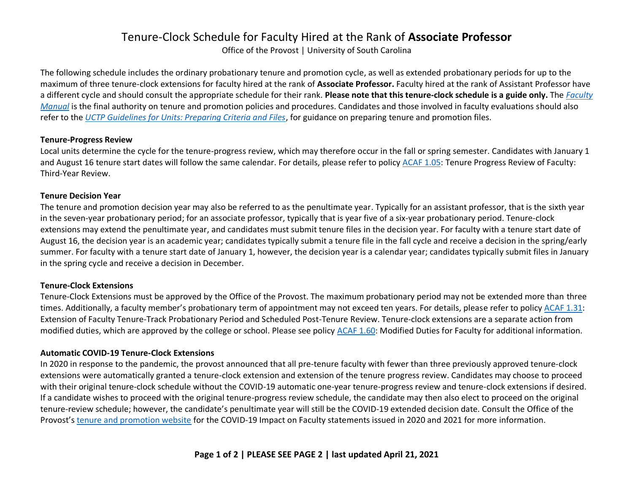# Tenure-Clock Schedule for Faculty Hired at the Rank of **Associate Professor**

Office of the Provost | University of South Carolina

The following schedule includes the ordinary probationary tenure and promotion cycle, as well as extended probationary periods for up to the maximum of three tenure-clock extensions for faculty hired at the rank of **Associate Professor.** Faculty hired at the rank of Assistant Professor have a different cycle and should consult the appropriate schedule for their rank. **Please note that this tenure-clock schedule is a guide only.** The *[Faculty](https://sc.edu/about/offices_and_divisions/provost/policiesandprocedures/facultymanuals/index.php)  [Manual](https://sc.edu/about/offices_and_divisions/provost/policiesandprocedures/facultymanuals/index.php)* is the final authority on tenure and promotion policies and procedures. Candidates and those involved in faculty evaluations should also refer to the *[UCTP Guidelines for Units: Preparing Criteria and Files](https://sc.edu/provost/forms/goldenrod.pdf)*, for guidance on preparing tenure and promotion files.

#### **Tenure-Progress Review**

Local units determine the cycle for the tenure-progress review, which may therefore occur in the fall or spring semester. Candidates with January 1 and August 16 tenure start dates will follow the same calendar. For details, please refer to policy [ACAF 1.05:](https://sc.edu/policies/acaf105.pdf) Tenure Progress Review of Faculty: Third-Year Review.

#### **Tenure Decision Year**

The tenure and promotion decision year may also be referred to as the penultimate year. Typically for an assistant professor, that is the sixth year in the seven-year probationary period; for an associate professor, typically that is year five of a six-year probationary period. Tenure-clock extensions may extend the penultimate year, and candidates must submit tenure files in the decision year. For faculty with a tenure start date of August 16, the decision year is an academic year; candidates typically submit a tenure file in the fall cycle and receive a decision in the spring/early summer. For faculty with a tenure start date of January 1, however, the decision year is a calendar year; candidates typically submit files in January in the spring cycle and receive a decision in December.

### **Tenure-Clock Extensions**

Tenure-Clock Extensions must be approved by the Office of the Provost. The maximum probationary period may not be extended more than three times. Additionally, a faculty member's probationary term of appointment may not exceed ten years. For details, please refer to polic[y ACAF 1.31:](https://sc.edu/policies/acaf131.pdf) Extension of Faculty Tenure-Track Probationary Period and Scheduled Post-Tenure Review. Tenure-clock extensions are a separate action from modified duties, which are approved by the college or school. Please see policy [ACAF 1.60:](https://www.sc.edu/policies/ppm/acaf160.pdf) Modified Duties for Faculty for additional information.

### **Automatic COVID-19 Tenure-Clock Extensions**

In 2020 in response to the pandemic, the provost announced that all pre-tenure faculty with fewer than three previously approved tenure-clock extensions were automatically granted a tenure-clock extension and extension of the tenure progress review. Candidates may choose to proceed with their original tenure-clock schedule without the COVID-19 automatic one-year tenure-progress review and tenure-clock extensions if desired. If a candidate wishes to proceed with the original tenure-progress review schedule, the candidate may then also elect to proceed on the original tenure-review schedule; however, the candidate's penultimate year will still be the COVID-19 extended decision date. Consult the Office of the Provost's [tenure and promotion website](https://sc.edu/about/offices_and_divisions/provost/faculty/tenure/index.php) for the COVID-19 Impact on Faculty statements issued in 2020 and 2021 for more information.